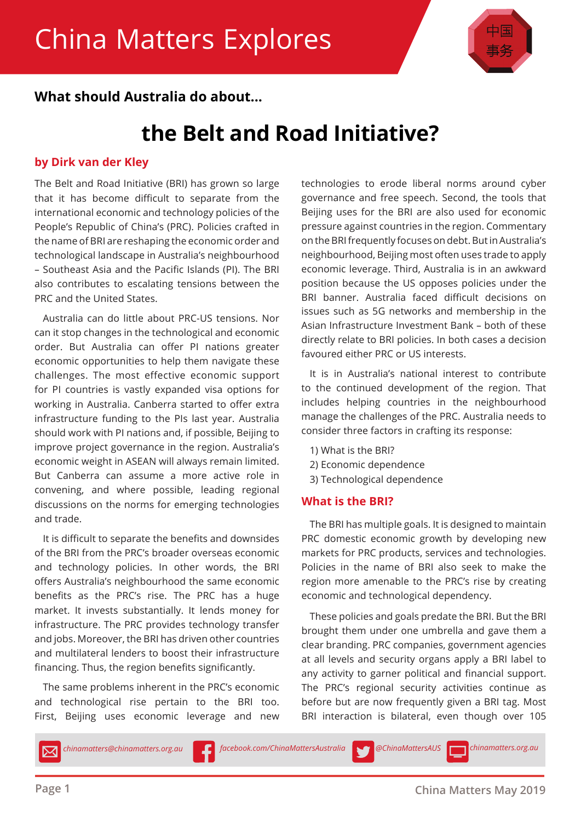

### **What should Australia do about...**

### **the Belt and Road Initiative?**

### **by Dirk van der Kley**

The Belt and Road Initiative (BRI) has grown so large that it has become difficult to separate from the international economic and technology policies of the People's Republic of China's (PRC). Policies crafted in the name of BRI are reshaping the economic order and technological landscape in Australia's neighbourhood – Southeast Asia and the Pacific Islands (PI). The BRI also contributes to escalating tensions between the PRC and the United States.

Australia can do little about PRC-US tensions. Nor can it stop changes in the technological and economic order. But Australia can offer PI nations greater economic opportunities to help them navigate these challenges. The most effective economic support for PI countries is vastly expanded visa options for working in Australia. Canberra started to offer extra infrastructure funding to the PIs last year. Australia should work with PI nations and, if possible, Beijing to improve project governance in the region. Australia's economic weight in ASEAN will always remain limited. But Canberra can assume a more active role in convening, and where possible, leading regional discussions on the norms for emerging technologies and trade.

It is difficult to separate the benefits and downsides of the BRI from the PRC's broader overseas economic and technology policies. In other words, the BRI offers Australia's neighbourhood the same economic benefits as the PRC's rise. The PRC has a huge market. It invests substantially. It lends money for infrastructure. The PRC provides technology transfer and jobs. Moreover, the BRI has driven other countries and multilateral lenders to boost their infrastructure financing. Thus, the region benefits significantly.

The same problems inherent in the PRC's economic and technological rise pertain to the BRI too. First, Beijing uses economic leverage and new

technologies to erode liberal norms around cyber governance and free speech. Second, the tools that Beijing uses for the BRI are also used for economic pressure against countries in the region. Commentary on the BRI frequently focuses on debt. But in Australia's neighbourhood, Beijing most often uses trade to apply economic leverage. Third, Australia is in an awkward position because the US opposes policies under the BRI banner. Australia faced difficult decisions on issues such as 5G networks and membership in the Asian Infrastructure Investment Bank – both of these directly relate to BRI policies. In both cases a decision favoured either PRC or US interests.

It is in Australia's national interest to contribute to the continued development of the region. That includes helping countries in the neighbourhood manage the challenges of the PRC. Australia needs to consider three factors in crafting its response:

- 1) What is the BRI?
- 2) Economic dependence
- 3) Technological dependence

### **What is the BRI?**

The BRI has multiple goals. It is designed to maintain PRC domestic economic growth by developing new markets for PRC products, services and technologies. Policies in the name of BRI also seek to make the region more amenable to the PRC's rise by creating economic and technological dependency.

These policies and goals predate the BRI. But the BRI brought them under one umbrella and gave them a clear branding. PRC companies, government agencies at all levels and security organs apply a BRI label to any activity to garner political and financial support. The PRC's regional security activities continue as before but are now frequently given a BRI tag. Most BRI interaction is bilateral, even though over 105

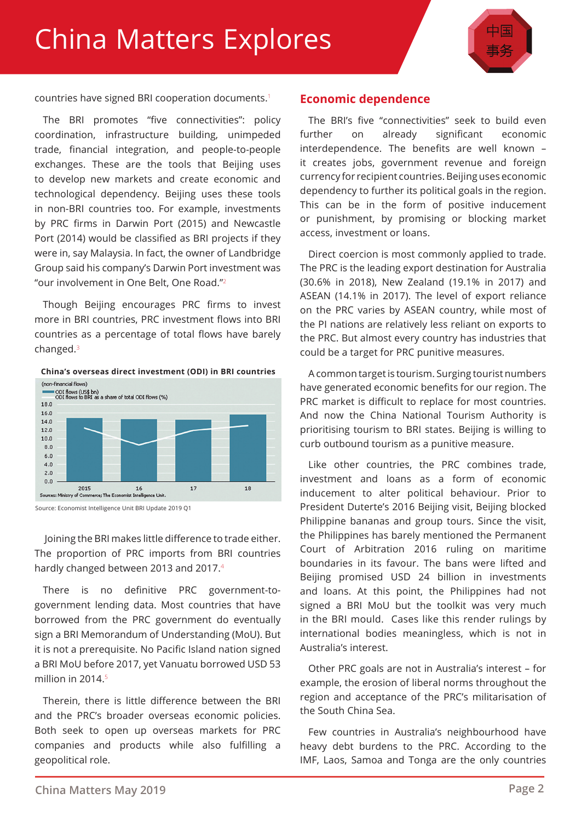### China Matters Explores



countries have signed BRI cooperation documents. $1$ 

The BRI promotes "five connectivities": policy coordination, infrastructure building, unimpeded trade, financial integration, and people-to-people exchanges. These are the tools that Beijing uses to develop new markets and create economic and technological dependency. Beijing uses these tools in non-BRI countries too. For example, investments by PRC firms in Darwin Port (2015) and Newcastle Port (2014) would be classified as BRI projects if they were in, say Malaysia. In fact, the owner of Landbridge Group said his company's Darwin Port investment was "our involvement in One Belt, One Road."<sup>2</sup>

Though Beijing encourages PRC firms to invest more in BRI countries, PRC investment flows into BRI countries as a percentage of total flows have barely changed.<sup>3</sup>

#### **China's overseas direct investment (ODI) in BRI countries**



Source: Economist Intelligence Unit BRI Update 2019 Q1

 Joining the BRI makes little difference to trade either. The proportion of PRC imports from BRI countries hardly changed between 2013 and 2017.<sup>4</sup>

There is no definitive PRC government-togovernment lending data. Most countries that have borrowed from the PRC government do eventually sign a BRI Memorandum of Understanding (MoU). But it is not a prerequisite. No Pacific Island nation signed a BRI MoU before 2017, yet Vanuatu borrowed USD 53 million in 2014.<sup>5</sup>

Therein, there is little difference between the BRI and the PRC's broader overseas economic policies. Both seek to open up overseas markets for PRC companies and products while also fulfilling a geopolitical role.

#### **Economic dependence**

The BRI's five "connectivities" seek to build even further on already significant economic interdependence. The benefits are well known – it creates jobs, government revenue and foreign currency for recipient countries. Beijing uses economic dependency to further its political goals in the region. This can be in the form of positive inducement or punishment, by promising or blocking market access, investment or loans.

Direct coercion is most commonly applied to trade. The PRC is the leading export destination for Australia (30.6% in 2018), New Zealand (19.1% in 2017) and ASEAN (14.1% in 2017). The level of export reliance on the PRC varies by ASEAN country, while most of the PI nations are relatively less reliant on exports to the PRC. But almost every country has industries that could be a target for PRC punitive measures.

A common target is tourism. Surging tourist numbers have generated economic benefits for our region. The PRC market is difficult to replace for most countries. And now the China National Tourism Authority is prioritising tourism to BRI states. Beijing is willing to curb outbound tourism as a punitive measure.

Like other countries, the PRC combines trade, investment and loans as a form of economic inducement to alter political behaviour. Prior to President Duterte's 2016 Beijing visit, Beijing blocked Philippine bananas and group tours. Since the visit, the Philippines has barely mentioned the Permanent Court of Arbitration 2016 ruling on maritime boundaries in its favour. The bans were lifted and Beijing promised USD 24 billion in investments and loans. At this point, the Philippines had not signed a BRI MoU but the toolkit was very much in the BRI mould. Cases like this render rulings by international bodies meaningless, which is not in Australia's interest.

Other PRC goals are not in Australia's interest – for example, the erosion of liberal norms throughout the region and acceptance of the PRC's militarisation of the South China Sea.

Few countries in Australia's neighbourhood have heavy debt burdens to the PRC. According to the IMF, Laos, Samoa and Tonga are the only countries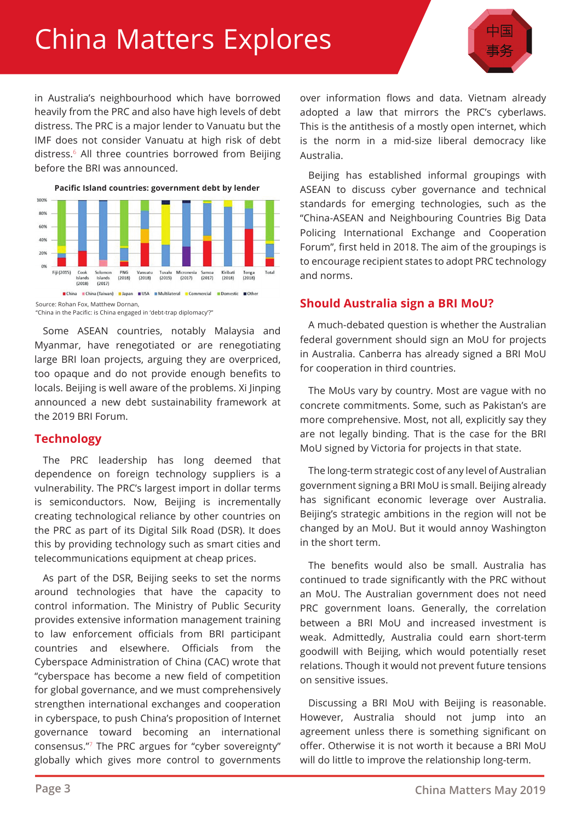# China Matters Explores



in Australia's neighbourhood which have borrowed heavily from the PRC and also have high levels of debt distress. The PRC is a major lender to Vanuatu but the IMF does not consider Vanuatu at high risk of debt distress.<sup>6</sup> All three countries borrowed from Beijing before the BRI was announced.



"China in the Pacific: is China engaged in 'debt-trap diplomacy'?"

Some ASEAN countries, notably Malaysia and Myanmar, have renegotiated or are renegotiating large BRI loan projects, arguing they are overpriced, too opaque and do not provide enough benefits to locals. Beijing is well aware of the problems. Xi Jinping announced a new debt sustainability framework at the 2019 BRI Forum.

### **Technology**

The PRC leadership has long deemed that dependence on foreign technology suppliers is a vulnerability. The PRC's largest import in dollar terms is semiconductors. Now, Beijing is incrementally creating technological reliance by other countries on the PRC as part of its Digital Silk Road (DSR). It does this by providing technology such as smart cities and telecommunications equipment at cheap prices.

As part of the DSR, Beijing seeks to set the norms around technologies that have the capacity to control information. The Ministry of Public Security provides extensive information management training to law enforcement officials from BRI participant countries and elsewhere. Officials from the Cyberspace Administration of China (CAC) wrote that "cyberspace has become a new field of competition for global governance, and we must comprehensively strengthen international exchanges and cooperation in cyberspace, to push China's proposition of Internet governance toward becoming an international consensus."<sup>7</sup> The PRC argues for "cyber sovereignty" globally which gives more control to governments

over information flows and data. Vietnam already adopted a law that mirrors the PRC's cyberlaws. This is the antithesis of a mostly open internet, which is the norm in a mid-size liberal democracy like Australia.

Beijing has established informal groupings with ASEAN to discuss cyber governance and technical standards for emerging technologies, such as the "China-ASEAN and Neighbouring Countries Big Data Policing International Exchange and Cooperation Forum", first held in 2018. The aim of the groupings is to encourage recipient states to adopt PRC technology and norms.

### **Should Australia sign a BRI MoU?**

A much-debated question is whether the Australian federal government should sign an MoU for projects in Australia. Canberra has already signed a BRI MoU for cooperation in third countries.

The MoUs vary by country. Most are vague with no concrete commitments. Some, such as Pakistan's are more comprehensive. Most, not all, explicitly say they are not legally binding. That is the case for the BRI MoU signed by Victoria for projects in that state.

The long-term strategic cost of any level of Australian government signing a BRI MoU is small. Beijing already has significant economic leverage over Australia. Beijing's strategic ambitions in the region will not be changed by an MoU. But it would annoy Washington in the short term.

The benefits would also be small. Australia has continued to trade significantly with the PRC without an MoU. The Australian government does not need PRC government loans. Generally, the correlation between a BRI MoU and increased investment is weak. Admittedly, Australia could earn short-term goodwill with Beijing, which would potentially reset relations. Though it would not prevent future tensions on sensitive issues.

Discussing a BRI MoU with Beijing is reasonable. However, Australia should not jump into an agreement unless there is something significant on offer. Otherwise it is not worth it because a BRI MoU will do little to improve the relationship long-term.